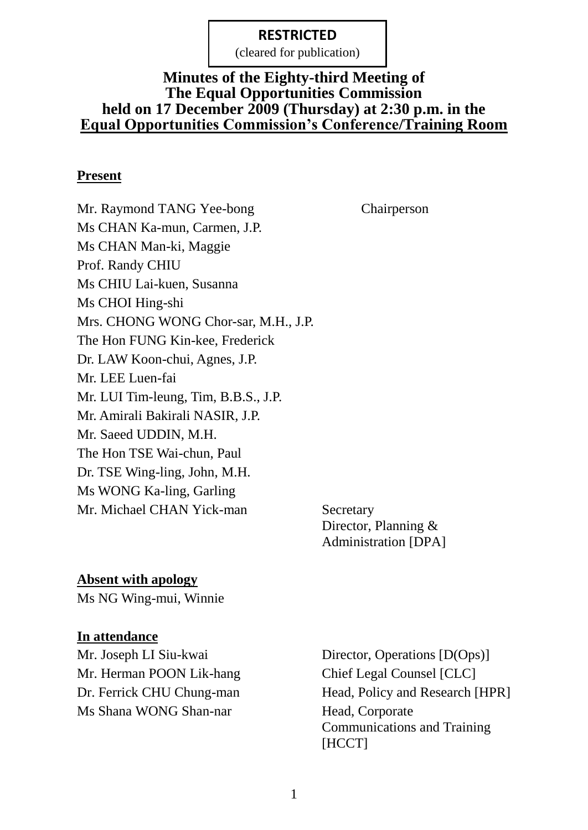(cleared for publication)

#### **Minutes of the Eighty-third Meeting of The Equal Opportunities Commission held on 17 December 2009 (Thursday) at 2:30 p.m. in the Equal Opportunities Commission's Conference/Training Room**

#### **Present**

Mr. Raymond TANG Yee-bong Chairperson Ms CHAN Ka-mun, Carmen, J.P. Ms CHAN Man-ki, Maggie Prof. Randy CHIU Ms CHIU Lai-kuen, Susanna Ms CHOI Hing-shi Mrs. CHONG WONG Chor-sar, M.H., J.P. The Hon FUNG Kin-kee, Frederick Dr. LAW Koon-chui, Agnes, J.P. Mr. LEE Luen-fai Mr. LUI Tim-leung, Tim, B.B.S., J.P. Mr. Amirali Bakirali NASIR, J.P. Mr. Saeed UDDIN, M.H. The Hon TSE Wai-chun, Paul Dr. TSE Wing-ling, John, M.H. Ms WONG Ka-ling, Garling Mr. Michael CHAN Yick-man Secretary

Director, Planning & Administration [DPA]

#### **Absent with apology**

Ms NG Wing-mui, Winnie

#### **In attendance**

Mr. Herman POON Lik-hang Chief Legal Counsel [CLC] Ms Shana WONG Shan-nar Head, Corporate

Mr. Joseph LI Siu-kwai Director, Operations [D(Ops)] Dr. Ferrick CHU Chung-man Head, Policy and Research [HPR] Communications and Training [HCCT]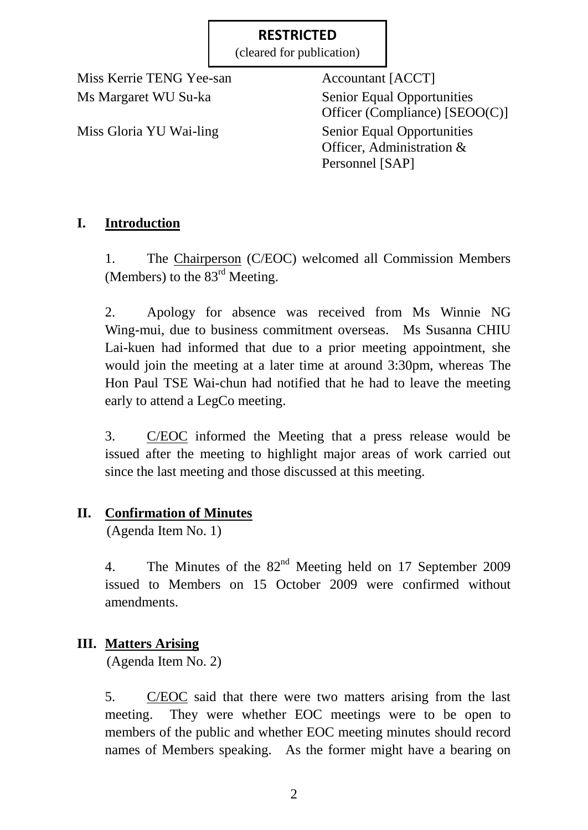(cleared for publication)

Miss Kerrie TENG Yee-san Accountant [ACCT]

Ms Margaret WU Su-ka Senior Equal Opportunities Officer (Compliance) [SEOO(C)] Miss Gloria YU Wai-ling Senior Equal Opportunities Officer, Administration & Personnel [SAP]

# **I. Introduction**

1. The Chairperson (C/EOC) welcomed all Commission Members (Members) to the  $83<sup>rd</sup>$  Meeting.

2. Apology for absence was received from Ms Winnie NG Wing-mui, due to business commitment overseas. Ms Susanna CHIU Lai-kuen had informed that due to a prior meeting appointment, she would join the meeting at a later time at around 3:30pm, whereas The Hon Paul TSE Wai-chun had notified that he had to leave the meeting early to attend a LegCo meeting.

3. C/EOC informed the Meeting that a press release would be issued after the meeting to highlight major areas of work carried out since the last meeting and those discussed at this meeting.

# **II. Confirmation of Minutes**

(Agenda Item No. 1)

4. The Minutes of the  $82<sup>nd</sup>$  Meeting held on 17 September 2009 issued to Members on 15 October 2009 were confirmed without amendments.

# **III. Matters Arising**

(Agenda Item No. 2)

5. C/EOC said that there were two matters arising from the last meeting. They were whether EOC meetings were to be open to members of the public and whether EOC meeting minutes should record names of Members speaking. As the former might have a bearing on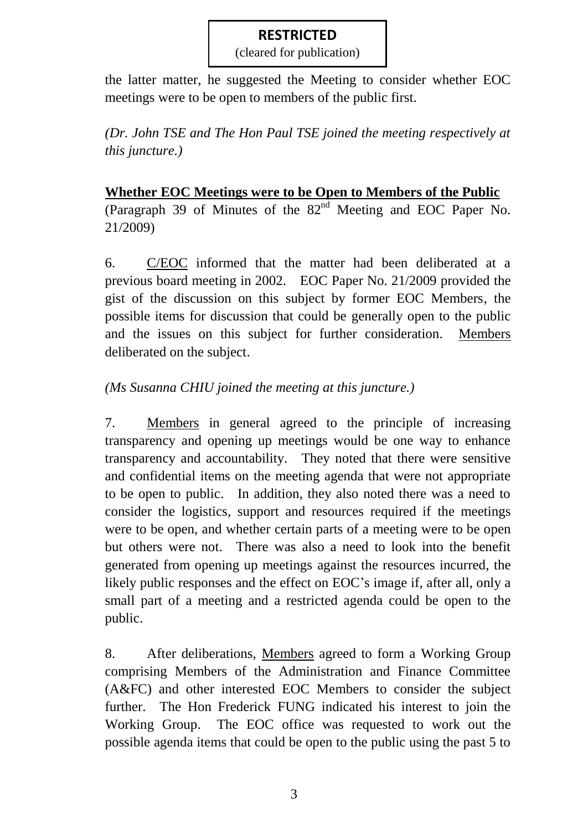(cleared for publication)

the latter matter, he suggested the Meeting to consider whether EOC meetings were to be open to members of the public first.

*(Dr. John TSE and The Hon Paul TSE joined the meeting respectively at this juncture.)*

## **Whether EOC Meetings were to be Open to Members of the Public**

(Paragraph 39 of Minutes of the  $82<sup>nd</sup>$  Meeting and EOC Paper No. 21/2009)

6. C/EOC informed that the matter had been deliberated at a previous board meeting in 2002. EOC Paper No. 21/2009 provided the gist of the discussion on this subject by former EOC Members, the possible items for discussion that could be generally open to the public and the issues on this subject for further consideration. Members deliberated on the subject.

## *(Ms Susanna CHIU joined the meeting at this juncture.)*

7. Members in general agreed to the principle of increasing transparency and opening up meetings would be one way to enhance transparency and accountability. They noted that there were sensitive and confidential items on the meeting agenda that were not appropriate to be open to public. In addition, they also noted there was a need to consider the logistics, support and resources required if the meetings were to be open, and whether certain parts of a meeting were to be open but others were not. There was also a need to look into the benefit generated from opening up meetings against the resources incurred, the likely public responses and the effect on EOC's image if, after all, only a small part of a meeting and a restricted agenda could be open to the public.

8. After deliberations, Members agreed to form a Working Group comprising Members of the Administration and Finance Committee (A&FC) and other interested EOC Members to consider the subject further. The Hon Frederick FUNG indicated his interest to join the Working Group. The EOC office was requested to work out the possible agenda items that could be open to the public using the past 5 to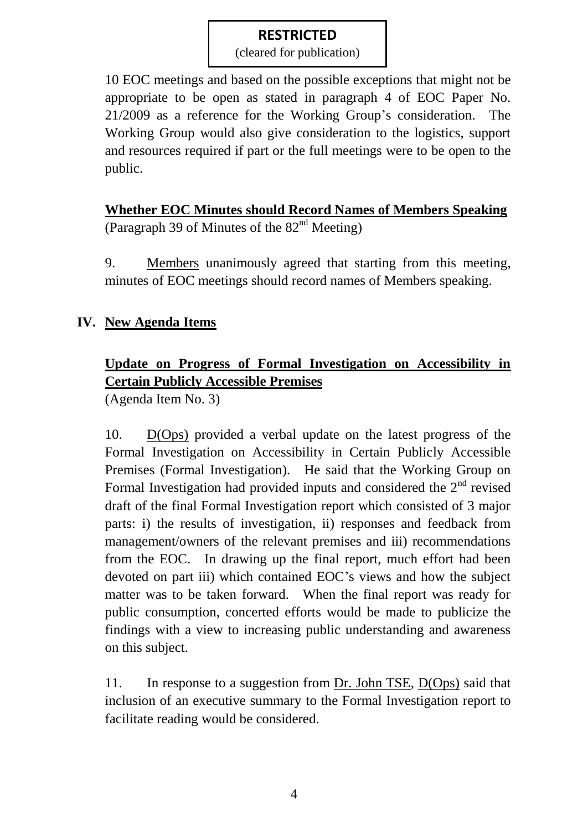(cleared for publication)

10 EOC meetings and based on the possible exceptions that might not be appropriate to be open as stated in paragraph 4 of EOC Paper No. 21/2009 as a reference for the Working Group's consideration. The Working Group would also give consideration to the logistics, support and resources required if part or the full meetings were to be open to the public.

**Whether EOC Minutes should Record Names of Members Speaking** (Paragraph 39 of Minutes of the  $82<sup>nd</sup>$  Meeting)

9. Members unanimously agreed that starting from this meeting, minutes of EOC meetings should record names of Members speaking.

## **IV. New Agenda Items**

# **Update on Progress of Formal Investigation on Accessibility in Certain Publicly Accessible Premises**

(Agenda Item No. 3)

10. D(Ops) provided a verbal update on the latest progress of the Formal Investigation on Accessibility in Certain Publicly Accessible Premises (Formal Investigation). He said that the Working Group on Formal Investigation had provided inputs and considered the  $2<sup>nd</sup>$  revised draft of the final Formal Investigation report which consisted of 3 major parts: i) the results of investigation, ii) responses and feedback from management/owners of the relevant premises and iii) recommendations from the EOC. In drawing up the final report, much effort had been devoted on part iii) which contained EOC's views and how the subject matter was to be taken forward. When the final report was ready for public consumption, concerted efforts would be made to publicize the findings with a view to increasing public understanding and awareness on this subject.

11. In response to a suggestion from Dr. John TSE, D(Ops) said that inclusion of an executive summary to the Formal Investigation report to facilitate reading would be considered.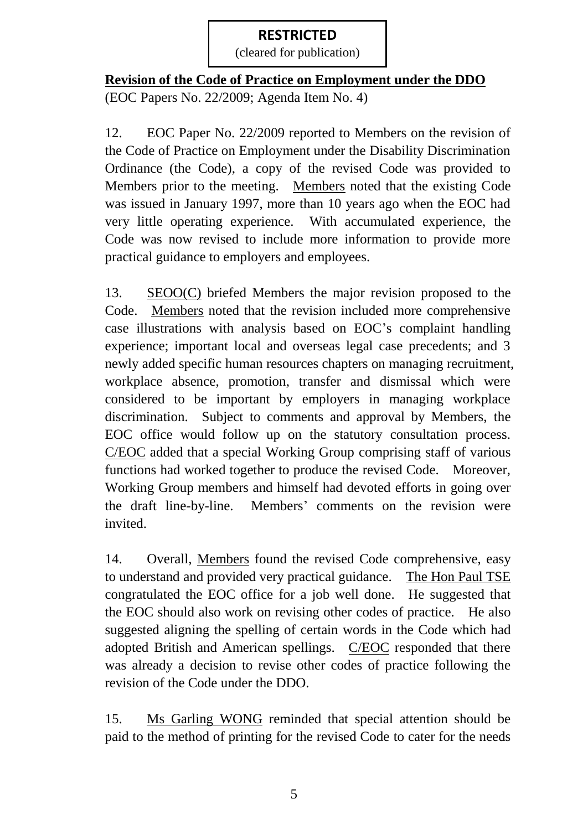(cleared for publication)

## **Revision of the Code of Practice on Employment under the DDO**

(EOC Papers No. 22/2009; Agenda Item No. 4)

12. EOC Paper No. 22/2009 reported to Members on the revision of the Code of Practice on Employment under the Disability Discrimination Ordinance (the Code), a copy of the revised Code was provided to Members prior to the meeting. Members noted that the existing Code was issued in January 1997, more than 10 years ago when the EOC had very little operating experience. With accumulated experience, the Code was now revised to include more information to provide more practical guidance to employers and employees.

13. SEOO(C) briefed Members the major revision proposed to the Code. Members noted that the revision included more comprehensive case illustrations with analysis based on EOC's complaint handling experience; important local and overseas legal case precedents; and 3 newly added specific human resources chapters on managing recruitment, workplace absence, promotion, transfer and dismissal which were considered to be important by employers in managing workplace discrimination. Subject to comments and approval by Members, the EOC office would follow up on the statutory consultation process. C/EOC added that a special Working Group comprising staff of various functions had worked together to produce the revised Code. Moreover, Working Group members and himself had devoted efforts in going over the draft line-by-line. Members' comments on the revision were invited.

14. Overall, Members found the revised Code comprehensive, easy to understand and provided very practical guidance. The Hon Paul TSE congratulated the EOC office for a job well done. He suggested that the EOC should also work on revising other codes of practice. He also suggested aligning the spelling of certain words in the Code which had adopted British and American spellings. C/EOC responded that there was already a decision to revise other codes of practice following the revision of the Code under the DDO.

15. Ms Garling WONG reminded that special attention should be paid to the method of printing for the revised Code to cater for the needs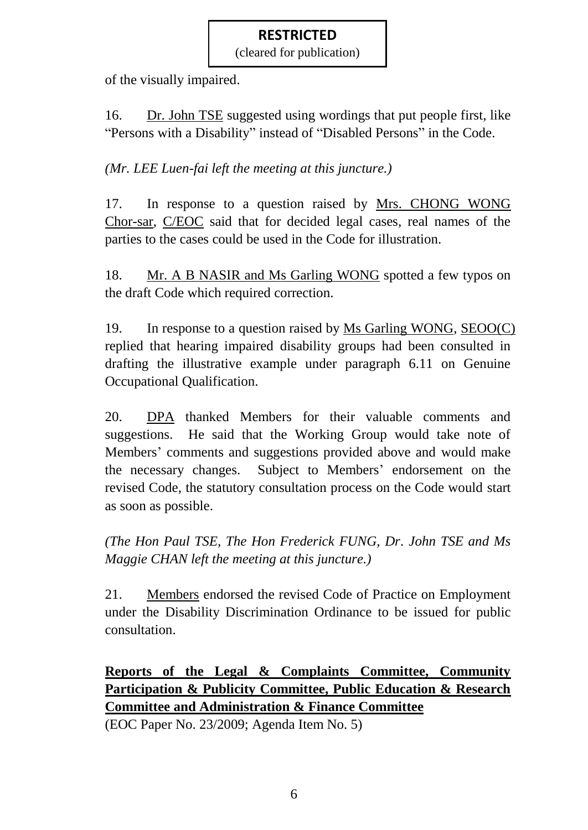(cleared for publication)

of the visually impaired.

16. Dr. John TSE suggested using wordings that put people first, like "Persons with a Disability" instead of "Disabled Persons" in the Code.

*(Mr. LEE Luen-fai left the meeting at this juncture.)*

17. In response to a question raised by Mrs. CHONG WONG Chor-sar, C/EOC said that for decided legal cases, real names of the parties to the cases could be used in the Code for illustration.

18. Mr. A B NASIR and Ms Garling WONG spotted a few typos on the draft Code which required correction.

19. In response to a question raised by Ms Garling WONG, SEOO(C) replied that hearing impaired disability groups had been consulted in drafting the illustrative example under paragraph 6.11 on Genuine Occupational Qualification.

20. DPA thanked Members for their valuable comments and suggestions. He said that the Working Group would take note of Members' comments and suggestions provided above and would make the necessary changes. Subject to Members' endorsement on the revised Code, the statutory consultation process on the Code would start as soon as possible.

*(The Hon Paul TSE, The Hon Frederick FUNG, Dr. John TSE and Ms Maggie CHAN left the meeting at this juncture.)*

21. Members endorsed the revised Code of Practice on Employment under the Disability Discrimination Ordinance to be issued for public consultation.

**Reports of the Legal & Complaints Committee, Community Participation & Publicity Committee, Public Education & Research Committee and Administration & Finance Committee**

(EOC Paper No. 23/2009; Agenda Item No. 5)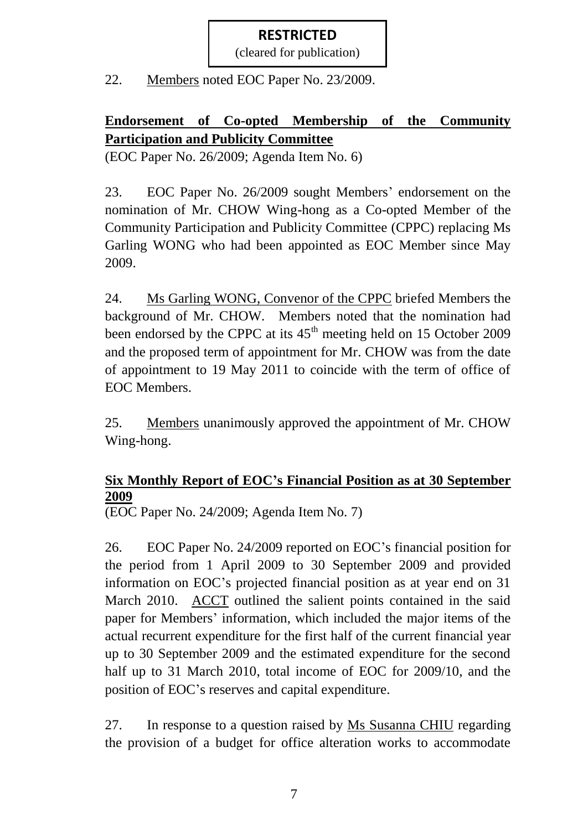(cleared for publication)

22. Members noted EOC Paper No. 23/2009.

# **Endorsement of Co-opted Membership of the Community Participation and Publicity Committee**

(EOC Paper No. 26/2009; Agenda Item No. 6)

23. EOC Paper No. 26/2009 sought Members' endorsement on the nomination of Mr. CHOW Wing-hong as a Co-opted Member of the Community Participation and Publicity Committee (CPPC) replacing Ms Garling WONG who had been appointed as EOC Member since May 2009.

24. Ms Garling WONG, Convenor of the CPPC briefed Members the background of Mr. CHOW. Members noted that the nomination had been endorsed by the CPPC at its  $45<sup>th</sup>$  meeting held on 15 October 2009 and the proposed term of appointment for Mr. CHOW was from the date of appointment to 19 May 2011 to coincide with the term of office of EOC Members.

25. Members unanimously approved the appointment of Mr. CHOW Wing-hong.

## **Six Monthly Report of EOC's Financial Position as at 30 September 2009**

(EOC Paper No. 24/2009; Agenda Item No. 7)

26. EOC Paper No. 24/2009 reported on EOC's financial position for the period from 1 April 2009 to 30 September 2009 and provided information on EOC's projected financial position as at year end on 31 March 2010. ACCT outlined the salient points contained in the said paper for Members' information, which included the major items of the actual recurrent expenditure for the first half of the current financial year up to 30 September 2009 and the estimated expenditure for the second half up to 31 March 2010, total income of EOC for 2009/10, and the position of EOC's reserves and capital expenditure.

27. In response to a question raised by Ms Susanna CHIU regarding the provision of a budget for office alteration works to accommodate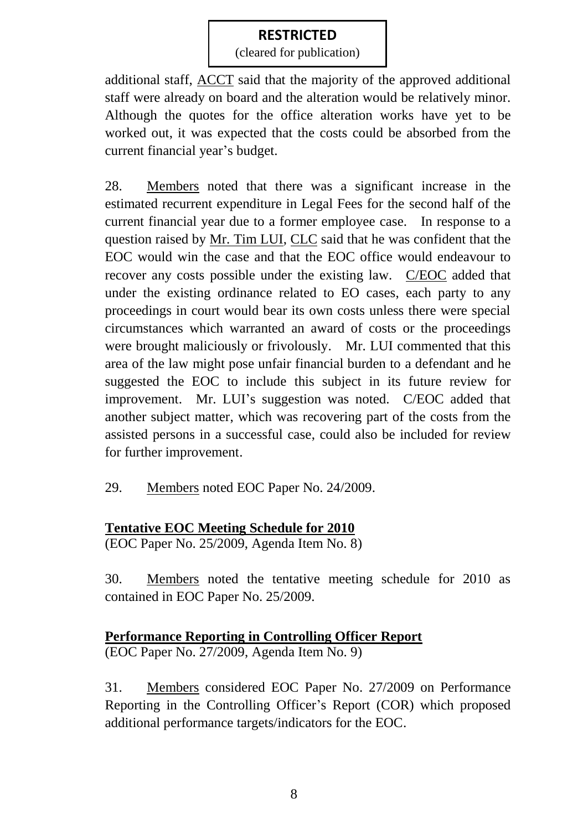(cleared for publication)

additional staff, ACCT said that the majority of the approved additional staff were already on board and the alteration would be relatively minor. Although the quotes for the office alteration works have yet to be worked out, it was expected that the costs could be absorbed from the current financial year's budget.

28. Members noted that there was a significant increase in the estimated recurrent expenditure in Legal Fees for the second half of the current financial year due to a former employee case. In response to a question raised by Mr. Tim LUI, CLC said that he was confident that the EOC would win the case and that the EOC office would endeavour to recover any costs possible under the existing law. C/EOC added that under the existing ordinance related to EO cases, each party to any proceedings in court would bear its own costs unless there were special circumstances which warranted an award of costs or the proceedings were brought maliciously or frivolously. Mr. LUI commented that this area of the law might pose unfair financial burden to a defendant and he suggested the EOC to include this subject in its future review for improvement. Mr. LUI's suggestion was noted. C/EOC added that another subject matter, which was recovering part of the costs from the assisted persons in a successful case, could also be included for review for further improvement.

29. Members noted EOC Paper No. 24/2009.

# **Tentative EOC Meeting Schedule for 2010**

(EOC Paper No. 25/2009, Agenda Item No. 8)

30. Members noted the tentative meeting schedule for 2010 as contained in EOC Paper No. 25/2009.

# **Performance Reporting in Controlling Officer Report**

(EOC Paper No. 27/2009, Agenda Item No. 9)

31. Members considered EOC Paper No. 27/2009 on Performance Reporting in the Controlling Officer's Report (COR) which proposed additional performance targets/indicators for the EOC.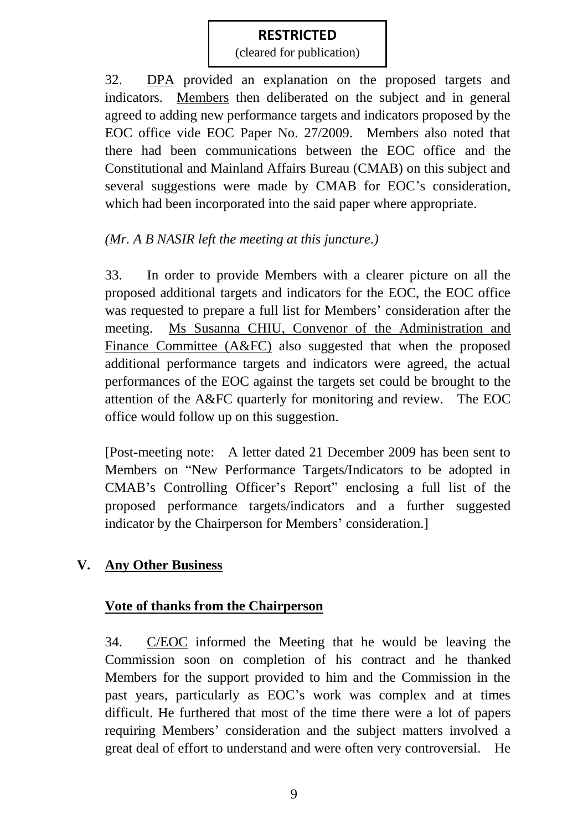(cleared for publication)

32. DPA provided an explanation on the proposed targets and indicators. Members then deliberated on the subject and in general agreed to adding new performance targets and indicators proposed by the EOC office vide EOC Paper No. 27/2009. Members also noted that there had been communications between the EOC office and the Constitutional and Mainland Affairs Bureau (CMAB) on this subject and several suggestions were made by CMAB for EOC's consideration, which had been incorporated into the said paper where appropriate.

## *(Mr. A B NASIR left the meeting at this juncture.)*

33. In order to provide Members with a clearer picture on all the proposed additional targets and indicators for the EOC, the EOC office was requested to prepare a full list for Members' consideration after the meeting. Ms Susanna CHIU, Convenor of the Administration and Finance Committee (A&FC) also suggested that when the proposed additional performance targets and indicators were agreed, the actual performances of the EOC against the targets set could be brought to the attention of the A&FC quarterly for monitoring and review. The EOC office would follow up on this suggestion.

[Post-meeting note: A letter dated 21 December 2009 has been sent to Members on "New Performance Targets/Indicators to be adopted in CMAB's Controlling Officer's Report" enclosing a full list of the proposed performance targets/indicators and a further suggested indicator by the Chairperson for Members' consideration.]

# **V. Any Other Business**

#### **Vote of thanks from the Chairperson**

34. C/EOC informed the Meeting that he would be leaving the Commission soon on completion of his contract and he thanked Members for the support provided to him and the Commission in the past years, particularly as EOC's work was complex and at times difficult. He furthered that most of the time there were a lot of papers requiring Members' consideration and the subject matters involved a great deal of effort to understand and were often very controversial. He